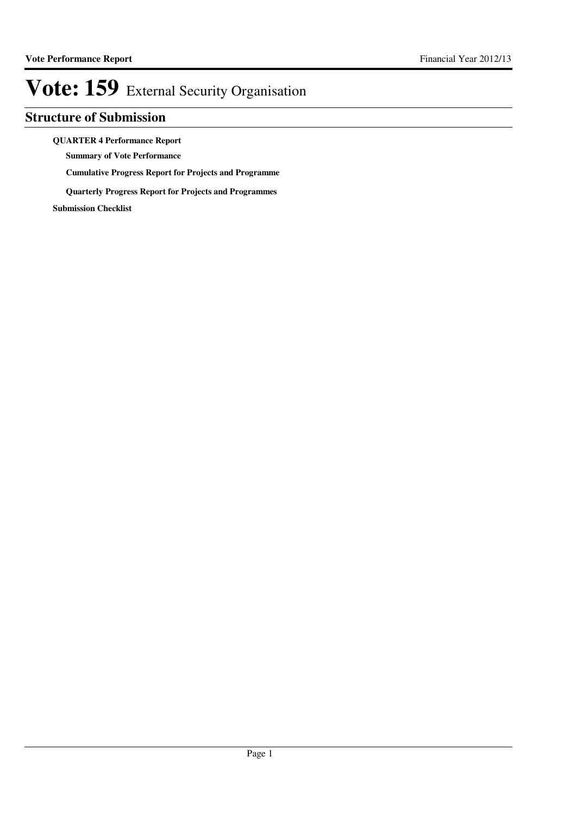### **Structure of Submission**

#### **QUARTER 4 Performance Report**

**Summary of Vote Performance**

**Cumulative Progress Report for Projects and Programme**

**Quarterly Progress Report for Projects and Programmes**

**Submission Checklist**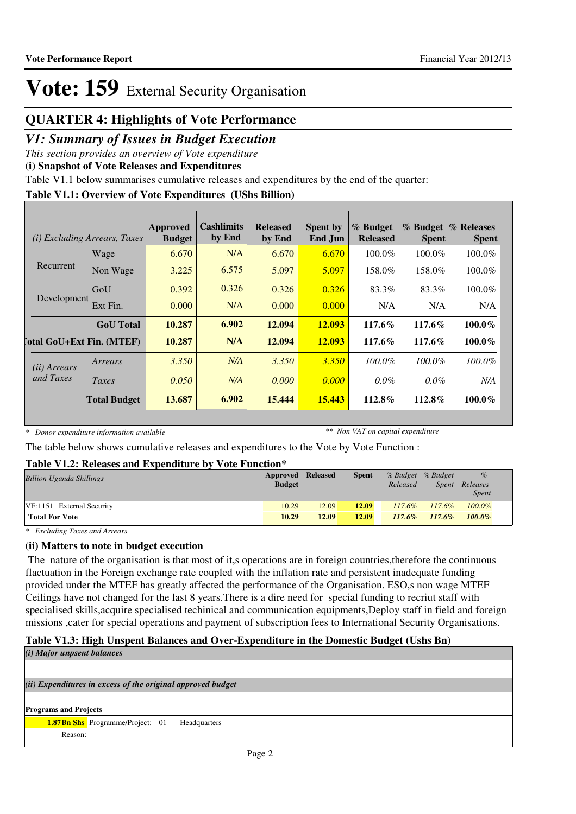### **QUARTER 4: Highlights of Vote Performance**

### *V1: Summary of Issues in Budget Execution*

*This section provides an overview of Vote expenditure*

**(i) Snapshot of Vote Releases and Expenditures**

Table V1.1 below summarises cumulative releases and expenditures by the end of the quarter:

#### **Table V1.1: Overview of Vote Expenditures (UShs Billion)**

|                       | ( <i>i</i> ) Excluding Arrears, Taxes | Approved<br><b>Budget</b> | <b>Cashlimits</b><br>by End | <b>Released</b><br>by End | <b>Spent by</b><br>End Jun | % Budget<br><b>Released</b> | <b>Spent</b> | % Budget % Releases<br><b>Spent</b> |
|-----------------------|---------------------------------------|---------------------------|-----------------------------|---------------------------|----------------------------|-----------------------------|--------------|-------------------------------------|
|                       | Wage                                  | 6.670                     | N/A                         | 6.670                     | 6.670                      | $100.0\%$                   | $100.0\%$    | 100.0%                              |
| Recurrent             | Non Wage                              | 3.225                     | 6.575                       | 5.097                     | 5.097                      | 158.0%                      | 158.0%       | 100.0%                              |
|                       | GoU                                   | 0.392                     | 0.326                       | 0.326                     | 0.326                      | 83.3%                       | 83.3%        | 100.0%                              |
| Development           | Ext Fin.                              | 0.000                     | N/A                         | 0.000                     | 0.000                      | N/A                         | N/A          | N/A                                 |
|                       | <b>GoU</b> Total                      | 10.287                    | 6.902                       | 12.094                    | 12.093                     | $117.6\%$                   | $117.6\%$    | $100.0\%$                           |
|                       | [otal GoU+Ext Fin. (MTEF)             | 10.287                    | N/A                         | 12.094                    | 12.093                     | $117.6\%$                   | $117.6\%$    | $100.0\%$                           |
| ( <i>ii</i> ) Arrears | Arrears                               | 3.350                     | N/A                         | 3.350                     | 3.350                      | $100.0\%$                   | $100.0\%$    | $100.0\%$                           |
| and Taxes             | Taxes                                 | 0.050                     | N/A                         | 0.000                     | 0.000                      | $0.0\%$                     | $0.0\%$      | N/A                                 |
|                       | <b>Total Budget</b>                   | 13.687                    | 6.902                       | 15,444                    | 15.443                     | 112.8%                      | $112.8\%$    | $100.0\%$                           |

*\* Donor expenditure information available*

*\*\* Non VAT on capital expenditure*

The table below shows cumulative releases and expenditures to the Vote by Vote Function :

#### **Table V1.2: Releases and Expenditure by Vote Function\***

| <b>Billion Uganda Shillings</b> | <b>Approved Released</b> |       | <b>Spent</b> | % Budget % Budget |           | %            |  |
|---------------------------------|--------------------------|-------|--------------|-------------------|-----------|--------------|--|
|                                 | <b>Budget</b>            |       |              | Released          | Spent     | Releases     |  |
|                                 |                          |       |              |                   |           | <i>Spent</i> |  |
| VF:1151 External Security       | 10.29                    | 12.09 | 12.09        | $117.6\%$         | $117.6\%$ | $100.0\%$    |  |
| <b>Total For Vote</b>           | 10.29                    | 12.09 | 12.09        | $117.6\%$         | $117.6\%$ | $100.0\%$    |  |

*\* Excluding Taxes and Arrears*

#### **(ii) Matters to note in budget execution**

 The nature of the organisation is that most of it,s operations are in foreign countries,therefore the continuous flactuation in the Foreign exchange rate coupled with the inflation rate and persistent inadequate funding provided under the MTEF has greatly affected the performance of the Organisation. ESO,s non wage MTEF Ceilings have not changed for the last 8 years.There is a dire need for special funding to recriut staff with specialised skills,acquire specialised techinical and communication equipments,Deploy staff in field and foreign missions ,cater for special operations and payment of subscription fees to International Security Organisations.

### **Table V1.3: High Unspent Balances and Over-Expenditure in the Domestic Budget (Ushs Bn)**

*(ii) Expenditures in excess of the original approved budget (i) Major unpsent balances* **Programs and Projects 1.87Bn Shs** Programme/Project: 01 Headquarters Reason: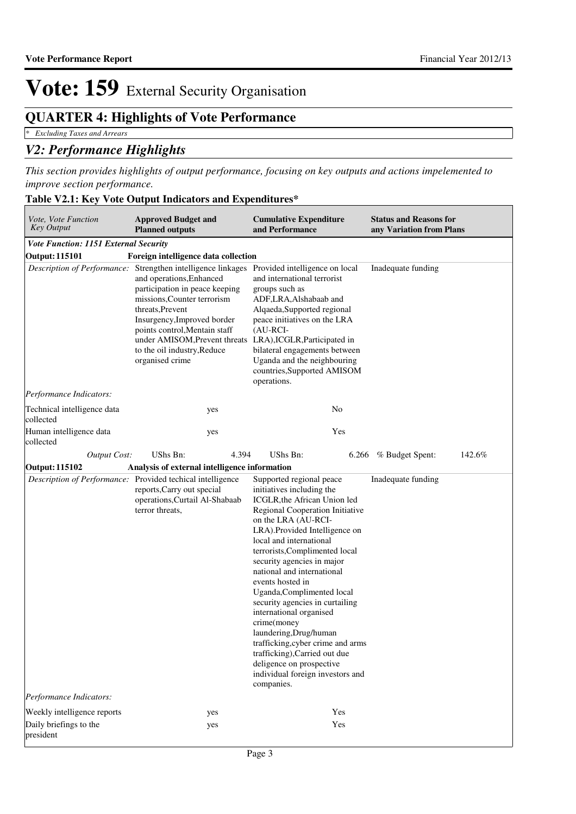### **QUARTER 4: Highlights of Vote Performance**

*\* Excluding Taxes and Arrears*

### *V2: Performance Highlights*

*This section provides highlights of output performance, focusing on key outputs and actions impelemented to improve section performance.*

| Table V2.1: Key Vote Output Indicators and Expenditures* |
|----------------------------------------------------------|
|                                                          |

| Vote, Vote Function<br><b>Approved Budget and</b><br>Key Output<br><b>Planned outputs</b> |                                                                                                                                                                                                                                                                                                                                                                                              | <b>Cumulative Expenditure</b><br>and Performance                                                                                                                                                                                                                                                                                                                                                                                                                                                                                                                                                                        | <b>Status and Reasons for</b><br>any Variation from Plans |  |
|-------------------------------------------------------------------------------------------|----------------------------------------------------------------------------------------------------------------------------------------------------------------------------------------------------------------------------------------------------------------------------------------------------------------------------------------------------------------------------------------------|-------------------------------------------------------------------------------------------------------------------------------------------------------------------------------------------------------------------------------------------------------------------------------------------------------------------------------------------------------------------------------------------------------------------------------------------------------------------------------------------------------------------------------------------------------------------------------------------------------------------------|-----------------------------------------------------------|--|
| Vote Function: 1151 External Security                                                     |                                                                                                                                                                                                                                                                                                                                                                                              |                                                                                                                                                                                                                                                                                                                                                                                                                                                                                                                                                                                                                         |                                                           |  |
| <b>Output: 115101</b>                                                                     | Foreign intelligence data collection                                                                                                                                                                                                                                                                                                                                                         |                                                                                                                                                                                                                                                                                                                                                                                                                                                                                                                                                                                                                         |                                                           |  |
|                                                                                           | Description of Performance: Strengthen intelligence linkages Provided intelligence on local<br>and operations, Enhanced<br>participation in peace keeping<br>missions, Counter terrorism<br>threats, Prevent<br>Insurgency, Improved border<br>points control, Mentain staff<br>under AMISOM, Prevent threats LRA), ICGLR, Participated in<br>to the oil industry, Reduce<br>organised crime | and international terrorist<br>groups such as<br>ADF, LRA, Alshabaab and<br>Alqaeda, Supported regional<br>peace initiatives on the LRA<br>$(AU-RCI-$<br>bilateral engagements between<br>Uganda and the neighbouring<br>countries, Supported AMISOM<br>operations.                                                                                                                                                                                                                                                                                                                                                     | Inadequate funding                                        |  |
| <i>Performance Indicators:</i>                                                            |                                                                                                                                                                                                                                                                                                                                                                                              |                                                                                                                                                                                                                                                                                                                                                                                                                                                                                                                                                                                                                         |                                                           |  |
| Technical intelligence data<br>collected                                                  | yes                                                                                                                                                                                                                                                                                                                                                                                          | No                                                                                                                                                                                                                                                                                                                                                                                                                                                                                                                                                                                                                      |                                                           |  |
| Human intelligence data<br>collected                                                      | yes                                                                                                                                                                                                                                                                                                                                                                                          | Yes                                                                                                                                                                                                                                                                                                                                                                                                                                                                                                                                                                                                                     |                                                           |  |
| <b>Output Cost:</b>                                                                       | <b>UShs Bn:</b><br>4.394                                                                                                                                                                                                                                                                                                                                                                     | UShs Bn:<br>6.266                                                                                                                                                                                                                                                                                                                                                                                                                                                                                                                                                                                                       | % Budget Spent:<br>142.6%                                 |  |
| <b>Output: 115102</b>                                                                     | Analysis of external intelligence information                                                                                                                                                                                                                                                                                                                                                |                                                                                                                                                                                                                                                                                                                                                                                                                                                                                                                                                                                                                         |                                                           |  |
|                                                                                           | Description of Performance: Provided techical intelligence<br>reports, Carry out special<br>operations, Curtail Al-Shabaab<br>terror threats,                                                                                                                                                                                                                                                | Supported regional peace<br>initiatives including the<br>ICGLR, the African Union led<br>Regional Cooperation Initiative<br>on the LRA (AU-RCI-<br>LRA). Provided Intelligence on<br>local and international<br>terrorists, Complimented local<br>security agencies in major<br>national and international<br>events hosted in<br>Uganda, Complimented local<br>security agencies in curtailing<br>international organised<br>crime(money<br>laundering, Drug/human<br>trafficking, cyber crime and arms<br>trafficking), Carried out due<br>deligence on prospective<br>individual foreign investors and<br>companies. | Inadequate funding                                        |  |
| Performance Indicators:                                                                   |                                                                                                                                                                                                                                                                                                                                                                                              |                                                                                                                                                                                                                                                                                                                                                                                                                                                                                                                                                                                                                         |                                                           |  |
| Weekly intelligence reports<br>Daily briefings to the<br>president                        | yes<br>yes                                                                                                                                                                                                                                                                                                                                                                                   | Yes<br>Yes                                                                                                                                                                                                                                                                                                                                                                                                                                                                                                                                                                                                              |                                                           |  |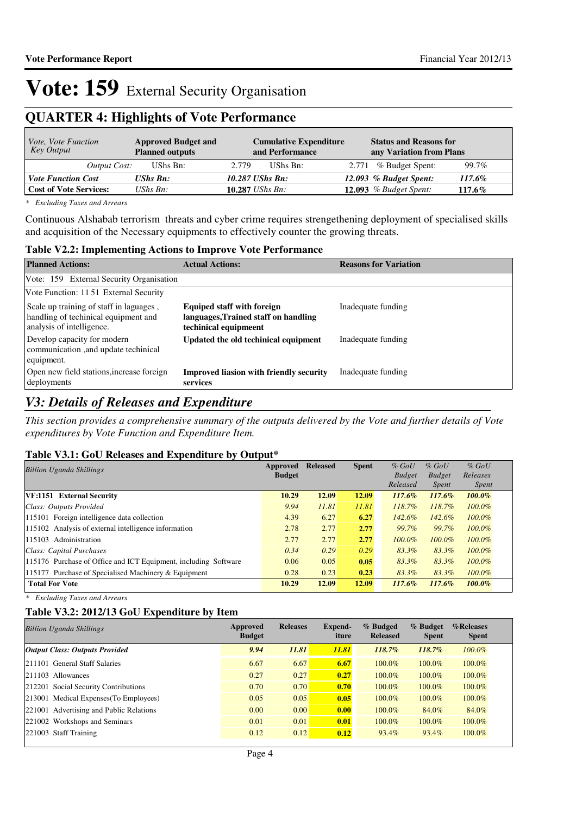### **QUARTER 4: Highlights of Vote Performance**

| <i>Vote, Vote Function</i><br>Key Output | <b>Approved Budget and</b><br><b>Planned outputs</b> | <b>Cumulative Expenditure</b><br>and Performance | <b>Status and Reasons for</b><br>any Variation from Plans |
|------------------------------------------|------------------------------------------------------|--------------------------------------------------|-----------------------------------------------------------|
| Output Cost:                             | UShs Bn:                                             | 2.779<br>UShs Bn:                                | 2.771 % Budget Spent:<br>99.7%                            |
| <b>Vote Function Cost</b>                | <b>UShs Bn:</b>                                      | 10.287 UShs Bn:                                  | 12.093 % Budget Spent:<br>117.6%                          |
| <b>Cost of Vote Services:</b>            | $\mathit{UShs}\, \mathit{Bn}$ :                      | 10.287 <i>UShs Bn</i> :                          | 12.093 $%$ Budget Spent:<br>117.6%                        |

*\* Excluding Taxes and Arrears*

Continuous Alshabab terrorism threats and cyber crime requires strengethening deployment of specialised skills and acquisition of the Necessary equipments to effectively counter the growing threats.

#### **Table V2.2: Implementing Actions to Improve Vote Performance**

| <b>Planned Actions:</b>                                                                                      | <b>Actual Actions:</b>                                                                             | <b>Reasons for Variation</b> |
|--------------------------------------------------------------------------------------------------------------|----------------------------------------------------------------------------------------------------|------------------------------|
| Vote: 159 External Security Organisation                                                                     |                                                                                                    |                              |
| Vote Function: 1151 External Security                                                                        |                                                                                                    |                              |
| Scale up training of staff in laguages,<br>handling of techinical equipment and<br>analysis of intelligence. | <b>Equiped staff with foreign</b><br>languages, Trained staff on handling<br>techinical equipmeent | Inadequate funding           |
| Develop capacity for modern<br>communication, and update techinical<br>equipment.                            | Updated the old techinical equipment                                                               | Inadequate funding           |
| Open new field stations, increase foreign<br>deployments                                                     | <b>Improved liasion with friendly security</b><br>services                                         | Inadequate funding           |

### *V3: Details of Releases and Expenditure*

*This section provides a comprehensive summary of the outputs delivered by the Vote and further details of Vote expenditures by Vote Function and Expenditure Item.*

#### **Table V3.1: GoU Releases and Expenditure by Output\***

| <b>Billion Uganda Shillings</b>                                 | Approved<br><b>Budget</b> | <b>Released</b> | <b>Spent</b> | $%$ GoU<br><b>Budget</b> | $%$ GoU<br><b>Budget</b> | $%$ GoU<br>Releases |
|-----------------------------------------------------------------|---------------------------|-----------------|--------------|--------------------------|--------------------------|---------------------|
|                                                                 |                           |                 |              | Released                 | <i>Spent</i>             | <i>Spent</i>        |
| VF:1151 External Security                                       | 10.29                     | 12.09           | 12.09        | $117.6\%$                | $117.6\%$                | $100.0\%$           |
| Class: Outputs Provided                                         | 9.94                      | 11.81           | 11.81        | 118.7%                   | $118.7\%$                | $100.0\%$           |
| 115101 Foreign intelligence data collection                     | 4.39                      | 6.27            | 6.27         | 142.6%                   | 142.6%                   | $100.0\%$           |
| 115102 Analysis of external intelligence information            | 2.78                      | 2.77            | 2.77         | 99.7%                    | 99.7%                    | $100.0\%$           |
| 115103 Administration                                           | 2.77                      | 2.77            | 2.77         | 100.0%                   | $100.0\%$                | $100.0\%$           |
| Class: Capital Purchases                                        | 0.34                      | 0.29            | 0.29         | 83.3%                    | 83.3%                    | $100.0\%$           |
| 115176 Purchase of Office and ICT Equipment, including Software | 0.06                      | 0.05            | 0.05         | $83.3\%$                 | 83.3%                    | $100.0\%$           |
| 115177 Purchase of Specialised Machinery & Equipment            | 0.28                      | 0.23            | 0.23         | 83.3%                    | 83.3%                    | $100.0\%$           |
| <b>Total For Vote</b>                                           | 10.29                     | 12.09           | 12.09        | 117.6%                   | 117.6%                   | $100.0\%$           |

*\* Excluding Taxes and Arrears*

#### **Table V3.2: 2012/13 GoU Expenditure by Item**

| <b>Billion Uganda Shillings</b>         | Approved<br><b>Budget</b> | <b>Releases</b> | <b>Expend-</b><br>iture | % Budged<br><b>Released</b> | % Budget<br><b>Spent</b> | %Releases<br><b>Spent</b> |
|-----------------------------------------|---------------------------|-----------------|-------------------------|-----------------------------|--------------------------|---------------------------|
| <b>Output Class: Outputs Provided</b>   | 9.94                      | 11.81           | 11.81                   | 118.7%                      | 118.7%                   | $100.0\%$                 |
| 211101 General Staff Salaries           | 6.67                      | 6.67            | 6.67                    | $100.0\%$                   | 100.0%                   | 100.0%                    |
| 211103 Allowances                       | 0.27                      | 0.27            | 0.27                    | $100.0\%$                   | $100.0\%$                | $100.0\%$                 |
| 212201 Social Security Contributions    | 0.70                      | 0.70            | 0.70                    | $100.0\%$                   | $100.0\%$                | 100.0%                    |
| 213001 Medical Expenses (To Employees)  | 0.05                      | 0.05            | 0.05                    | $100.0\%$                   | $100.0\%$                | 100.0%                    |
| 221001 Advertising and Public Relations | 0.00                      | 0.00            | 0.00                    | $100.0\%$                   | 84.0%                    | 84.0%                     |
| 221002 Workshops and Seminars           | 0.01                      | 0.01            | 0.01                    | 100.0%                      | 100.0%                   | 100.0%                    |
| $ 221003 \tStaff Training$              | 0.12                      | 0.12            | 0.12                    | 93.4%                       | 93.4%                    | 100.0%                    |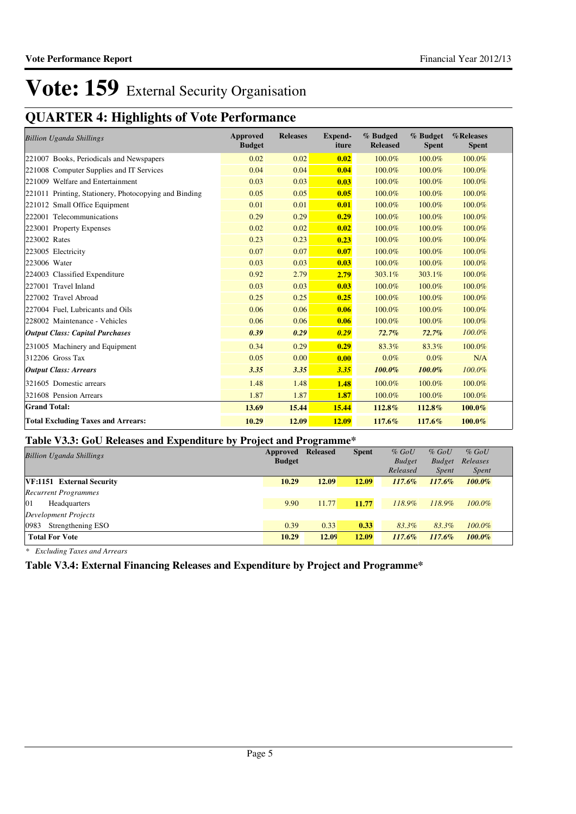# **QUARTER 4: Highlights of Vote Performance**

| <b>Billion Uganda Shillings</b>                       | Approved<br><b>Budget</b> | <b>Releases</b> | <b>Expend-</b><br>iture | % Budged<br><b>Released</b> | % Budget<br><b>Spent</b> | %Releases<br><b>Spent</b> |
|-------------------------------------------------------|---------------------------|-----------------|-------------------------|-----------------------------|--------------------------|---------------------------|
| 221007 Books, Periodicals and Newspapers              | 0.02                      | 0.02            | 0.02                    | 100.0%                      | 100.0%                   | 100.0%                    |
| 221008 Computer Supplies and IT Services              | 0.04                      | 0.04            | 0.04                    | 100.0%                      | 100.0%                   | 100.0%                    |
| 221009 Welfare and Entertainment                      | 0.03                      | 0.03            | 0.03                    | 100.0%                      | 100.0%                   | 100.0%                    |
| 221011 Printing, Stationery, Photocopying and Binding | 0.05                      | 0.05            | 0.05                    | 100.0%                      | 100.0%                   | 100.0%                    |
| 221012 Small Office Equipment                         | 0.01                      | 0.01            | 0.01                    | 100.0%                      | 100.0%                   | 100.0%                    |
| 222001 Telecommunications                             | 0.29                      | 0.29            | 0.29                    | 100.0%                      | 100.0%                   | 100.0%                    |
| 223001 Property Expenses                              | 0.02                      | 0.02            | 0.02                    | 100.0%                      | 100.0%                   | 100.0%                    |
| 223002 Rates                                          | 0.23                      | 0.23            | 0.23                    | 100.0%                      | 100.0%                   | 100.0%                    |
| 223005 Electricity                                    | 0.07                      | 0.07            | 0.07                    | 100.0%                      | 100.0%                   | 100.0%                    |
| 223006 Water                                          | 0.03                      | 0.03            | 0.03                    | 100.0%                      | 100.0%                   | 100.0%                    |
| 224003 Classified Expenditure                         | 0.92                      | 2.79            | 2.79                    | 303.1%                      | 303.1%                   | 100.0%                    |
| 227001 Travel Inland                                  | 0.03                      | 0.03            | 0.03                    | 100.0%                      | 100.0%                   | 100.0%                    |
| 227002 Travel Abroad                                  | 0.25                      | 0.25            | 0.25                    | 100.0%                      | 100.0%                   | 100.0%                    |
| 227004 Fuel, Lubricants and Oils                      | 0.06                      | 0.06            | 0.06                    | 100.0%                      | 100.0%                   | 100.0%                    |
| 228002 Maintenance - Vehicles                         | 0.06                      | 0.06            | 0.06                    | 100.0%                      | 100.0%                   | 100.0%                    |
| <b>Output Class: Capital Purchases</b>                | 0.39                      | 0.29            | 0.29                    | 72.7%                       | 72.7%                    | 100.0%                    |
| 231005 Machinery and Equipment                        | 0.34                      | 0.29            | 0.29                    | 83.3%                       | 83.3%                    | 100.0%                    |
| $312206$ Gross Tax                                    | 0.05                      | 0.00            | 0.00                    | $0.0\%$                     | $0.0\%$                  | N/A                       |
| <b>Output Class: Arrears</b>                          | 3.35                      | 3.35            | 3.35                    | 100.0%                      | 100.0%                   | 100.0%                    |
| 321605 Domestic arrears                               | 1.48                      | 1.48            | 1.48                    | 100.0%                      | 100.0%                   | 100.0%                    |
| 321608 Pension Arrears                                | 1.87                      | 1.87            | 1.87                    | 100.0%                      | 100.0%                   | 100.0%                    |
| <b>Grand Total:</b>                                   | 13.69                     | 15.44           | 15.44                   | 112.8%                      | 112.8%                   | 100.0%                    |
| <b>Total Excluding Taxes and Arrears:</b>             | 10.29                     | 12.09           | 12.09                   | 117.6%                      | 117.6%                   | 100.0%                    |

#### **Table V3.3: GoU Releases and Expenditure by Project and Programme\***

| <b>Billion Uganda Shillings</b> | Approved      | <b>Released</b> | <b>Spent</b> | $%$ GoU       | $%$ GoU       | $%$ GoU      |
|---------------------------------|---------------|-----------------|--------------|---------------|---------------|--------------|
|                                 | <b>Budget</b> |                 |              | <b>Budget</b> | <b>Budget</b> | Releases     |
|                                 |               |                 |              | Released      | <i>Spent</i>  | <i>Spent</i> |
| VF:1151 External Security       | 10.29         | 12.09           | 12.09        | $117.6\%$     | 117.6%        | $100.0\%$    |
| <b>Recurrent Programmes</b>     |               |                 |              |               |               |              |
| 01<br>Headquarters              | 9.90          | 11.77           | 11.77        | 118.9%        | 118.9%        | $100.0\%$    |
| <b>Development Projects</b>     |               |                 |              |               |               |              |
| 0983<br>Strengthening ESO       | 0.39          | 0.33            | 0.33         | 83.3%         | 83.3%         | $100.0\%$    |
| <b>Total For Vote</b>           | 10.29         | 12.09           | 12.09        | $117.6\%$     | 117.6%        | $100.0\%$    |

*\* Excluding Taxes and Arrears*

**Table V3.4: External Financing Releases and Expenditure by Project and Programme\***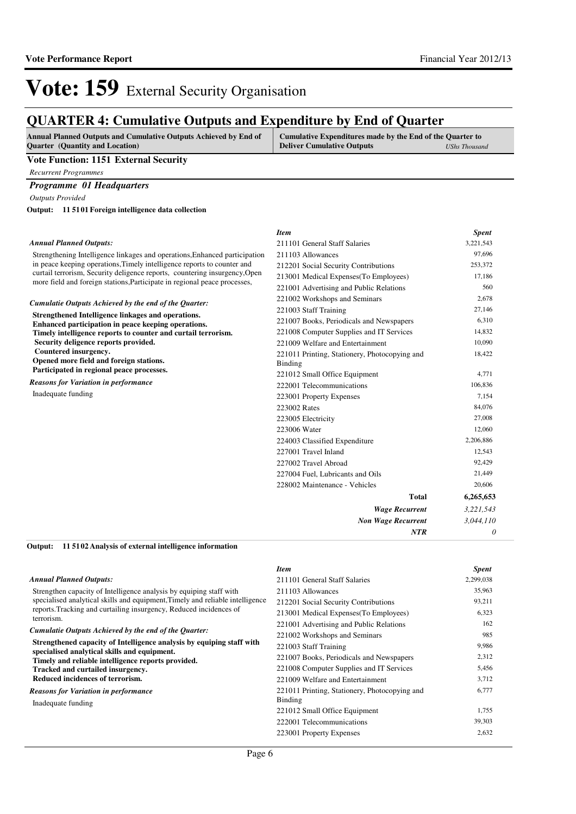### **QUARTER 4: Cumulative Outputs and Expenditure by End of Quarter**

| <b>Annual Planned Outputs and Cumulative Outputs Achieved by End of</b> | <b>Cumulative Expenditures made by the End of the Quarter to A</b> |               |
|-------------------------------------------------------------------------|--------------------------------------------------------------------|---------------|
| <b>Ouarter</b> (Quantity and Location)                                  | <b>Deliver Cumulative Outputs</b>                                  | UShs Thousand |

#### **Vote Function: 1151 External Security**

*Recurrent Programmes*

#### *Programme 01 Headquarters*

*Outputs Provided*

**11 5101 Foreign intelligence data collection Output:**

#### *Annual Planned Outputs:*

Strengthening Intelligence linkages and operations, Enhanced participation in peace keeping operations,Timely intelligence reports to counter and curtail terrorism, Security deligence reports, countering insurgency,Open more field and foreign stations,Participate in regional peace processes,

*Cumulatie Outputs Achieved by the end of the Quarter:*

**Strengthened Intelligence linkages and operations. Enhanced participation in peace keeping operations. Timely intelligence reports to counter and curtail terrorism. Security deligence reports provided. Countered insurgency. Opened more field and foreign stations. Participated in regional peace processes.** *Reasons for Variation in performance*

Inadequate funding

| <b>Item</b>                                              | <b>Spent</b> |
|----------------------------------------------------------|--------------|
| 211101 General Staff Salaries                            | 3,221,543    |
| 211103 Allowances<br>n                                   | 97,696       |
| 212201 Social Security Contributions                     | 253,372      |
| 213001 Medical Expenses (To Employees)                   | 17,186       |
| 221001 Advertising and Public Relations                  | 560          |
| 221002 Workshops and Seminars                            | 2.678        |
| 221003 Staff Training                                    | 27,146       |
| 221007 Books, Periodicals and Newspapers                 | 6,310        |
| 221008 Computer Supplies and IT Services                 | 14,832       |
| 221009 Welfare and Entertainment                         | 10,090       |
| 221011 Printing, Stationery, Photocopying and<br>Binding | 18,422       |
| 221012 Small Office Equipment                            | 4,771        |
| 222001 Telecommunications                                | 106,836      |
| 223001 Property Expenses                                 | 7,154        |
| 223002 Rates                                             | 84,076       |
| 223005 Electricity                                       | 27,008       |
| 223006 Water                                             | 12,060       |
| 224003 Classified Expenditure                            | 2,206,886    |
| 227001 Travel Inland                                     | 12,543       |
| 227002 Travel Abroad                                     | 92,429       |
| 227004 Fuel, Lubricants and Oils                         | 21,449       |
| 228002 Maintenance - Vehicles                            | 20,606       |
| Total                                                    | 6,265,653    |
| <b>Wage Recurrent</b>                                    | 3,221,543    |
| <b>Non Wage Recurrent</b>                                | 3,044,110    |
| <b>NTR</b>                                               | 0            |

#### **11 5102 Analysis of external intelligence information Output:**

|                                                                                                                       | <b>Item</b>                                              | <b>Spent</b> |
|-----------------------------------------------------------------------------------------------------------------------|----------------------------------------------------------|--------------|
| <b>Annual Planned Outputs:</b>                                                                                        | 211101 General Staff Salaries                            | 2,299,038    |
| Strengthen capacity of Intelligence analysis by equiping staff with                                                   | 211103 Allowances                                        | 35,963       |
| specialised analytical skills and equipment, Timely and reliable intelligence                                         | 212201 Social Security Contributions                     | 93,211       |
| reports. Tracking and curtailing insurgency, Reduced incidences of<br>terrorism.                                      | 213001 Medical Expenses (To Employees)                   | 6,323        |
|                                                                                                                       | 221001 Advertising and Public Relations                  | 162          |
| Cumulatie Outputs Achieved by the end of the Quarter:                                                                 | 221002 Workshops and Seminars                            | 985          |
| Strengthened capacity of Intelligence analysis by equiping staff with<br>specialised analytical skills and equipment. | 221003 Staff Training                                    | 9,986        |
| Timely and reliable intelligence reports provided.                                                                    | 221007 Books, Periodicals and Newspapers                 | 2,312        |
| Tracked and curtailed insurgency.                                                                                     | 221008 Computer Supplies and IT Services                 | 5,456        |
| Reduced incidences of terrorism.                                                                                      | 221009 Welfare and Entertainment                         | 3,712        |
| <b>Reasons for Variation in performance</b><br>Inadequate funding                                                     | 221011 Printing, Stationery, Photocopying and<br>Binding | 6,777        |
|                                                                                                                       | 221012 Small Office Equipment                            | 1,755        |
|                                                                                                                       | 222001 Telecommunications                                | 39,303       |
|                                                                                                                       | 223001 Property Expenses                                 | 2,632        |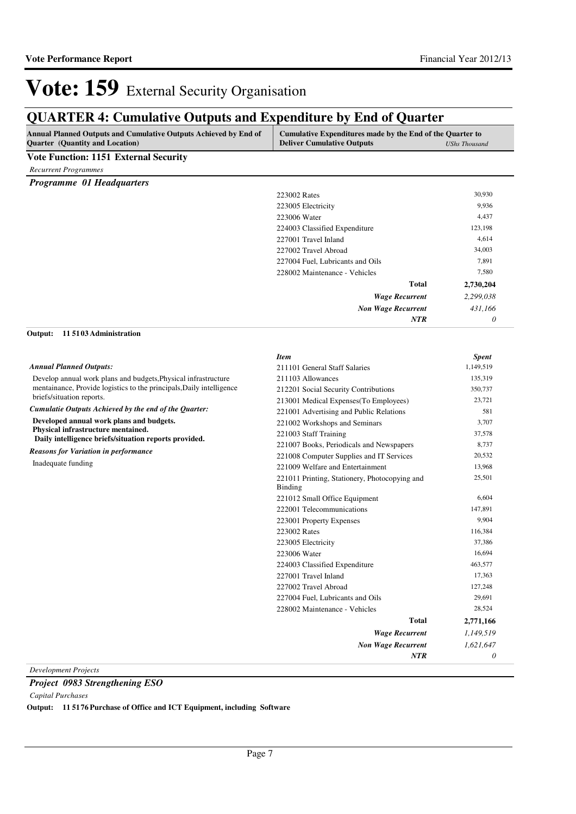## **QUARTER 4: Cumulative Outputs and Expenditure by End of Quarter**

| Annual Planned Outputs and Cumulative Outputs Achieved by End of<br>Cumulative Expenditures made by the End of the Quarter to<br><b>Quarter</b> (Quantity and Location)<br><b>Deliver Cumulative Outputs</b> |                                                                 | <b>UShs Thousand</b> |  |
|--------------------------------------------------------------------------------------------------------------------------------------------------------------------------------------------------------------|-----------------------------------------------------------------|----------------------|--|
| Vote Function: 1151 External Security                                                                                                                                                                        |                                                                 |                      |  |
| <b>Recurrent Programmes</b>                                                                                                                                                                                  |                                                                 |                      |  |
| Programme 01 Headquarters                                                                                                                                                                                    |                                                                 |                      |  |
|                                                                                                                                                                                                              | 223002 Rates                                                    | 30,930               |  |
|                                                                                                                                                                                                              | 223005 Electricity                                              | 9,936                |  |
|                                                                                                                                                                                                              | 223006 Water                                                    | 4,437                |  |
|                                                                                                                                                                                                              | 224003 Classified Expenditure                                   | 123,198              |  |
|                                                                                                                                                                                                              | 227001 Travel Inland                                            | 4,614                |  |
|                                                                                                                                                                                                              | 227002 Travel Abroad                                            | 34,003               |  |
|                                                                                                                                                                                                              | 227004 Fuel, Lubricants and Oils                                | 7,891                |  |
|                                                                                                                                                                                                              | 228002 Maintenance - Vehicles                                   | 7,580                |  |
|                                                                                                                                                                                                              | <b>Total</b>                                                    | 2,730,204            |  |
|                                                                                                                                                                                                              | <b>Wage Recurrent</b>                                           | 2,299,038            |  |
|                                                                                                                                                                                                              | <b>Non Wage Recurrent</b>                                       | 431,166              |  |
|                                                                                                                                                                                                              | NTR                                                             | 0                    |  |
| 115103 Administration<br>Output:                                                                                                                                                                             |                                                                 |                      |  |
|                                                                                                                                                                                                              | <b>Item</b>                                                     | <b>Spent</b>         |  |
| <b>Annual Planned Outputs:</b>                                                                                                                                                                               | 211101 General Staff Salaries                                   | 1,149,519            |  |
| Develop annual work plans and budgets, Physical infrastructure                                                                                                                                               | 211103 Allowances                                               | 135,319              |  |
| mentainance, Provide logistics to the principals, Daily intelligence                                                                                                                                         | 212201 Social Security Contributions                            | 350,737              |  |
| briefs/situation reports.                                                                                                                                                                                    | 213001 Medical Expenses(To Employees)                           | 23,721               |  |
| Cumulatie Outputs Achieved by the end of the Quarter:                                                                                                                                                        | 221001 Advertising and Public Relations                         |                      |  |
| Developed annual work plans and budgets.                                                                                                                                                                     | 221002 Workshops and Seminars                                   | 3,707                |  |
| Physical infrastructure mentained.                                                                                                                                                                           | 221003 Staff Training                                           | 37,578               |  |
| Daily intelligence briefs/situation reports provided.                                                                                                                                                        | 221007 Books, Periodicals and Newspapers                        | 8,737                |  |
| <b>Reasons for Variation in performance</b>                                                                                                                                                                  | 221008 Computer Supplies and IT Services                        | 20,532               |  |
| Inadequate funding                                                                                                                                                                                           | 221009 Welfare and Entertainment                                | 13,968               |  |
|                                                                                                                                                                                                              | 221011 Printing, Stationery, Photocopying and<br><b>Binding</b> | 25,501               |  |
|                                                                                                                                                                                                              | 221012 Small Office Equipment                                   | 6,604                |  |
|                                                                                                                                                                                                              | 222001 Telecommunications                                       | 147,891              |  |
|                                                                                                                                                                                                              | 223001 Property Expenses                                        | 9,904                |  |
|                                                                                                                                                                                                              | 223002 Rates                                                    | 116,384              |  |
|                                                                                                                                                                                                              | 223005 Electricity                                              | 37,386               |  |
|                                                                                                                                                                                                              | 223006 Water                                                    | 16,694               |  |
|                                                                                                                                                                                                              | 224003 Classified Expenditure                                   | 463,577              |  |
|                                                                                                                                                                                                              | 227001 Travel Inland                                            | 17,363               |  |
|                                                                                                                                                                                                              | 227002 Travel Abroad                                            | 127,248              |  |
|                                                                                                                                                                                                              | 227004 Fuel, Lubricants and Oils                                | 29,691               |  |
|                                                                                                                                                                                                              | 228002 Maintenance - Vehicles                                   | 28,524               |  |
|                                                                                                                                                                                                              | <b>Total</b>                                                    | 2,771,166            |  |
|                                                                                                                                                                                                              | <b>Wage Recurrent</b>                                           | 1,149,519            |  |
|                                                                                                                                                                                                              |                                                                 |                      |  |
|                                                                                                                                                                                                              | <b>Non Wage Recurrent</b>                                       | 1,621,647            |  |

*Project 0983 Strengthening ESO*

*Capital Purchases*

**Output: 11 5176 Purchase of Office and ICT Equipment, including Software**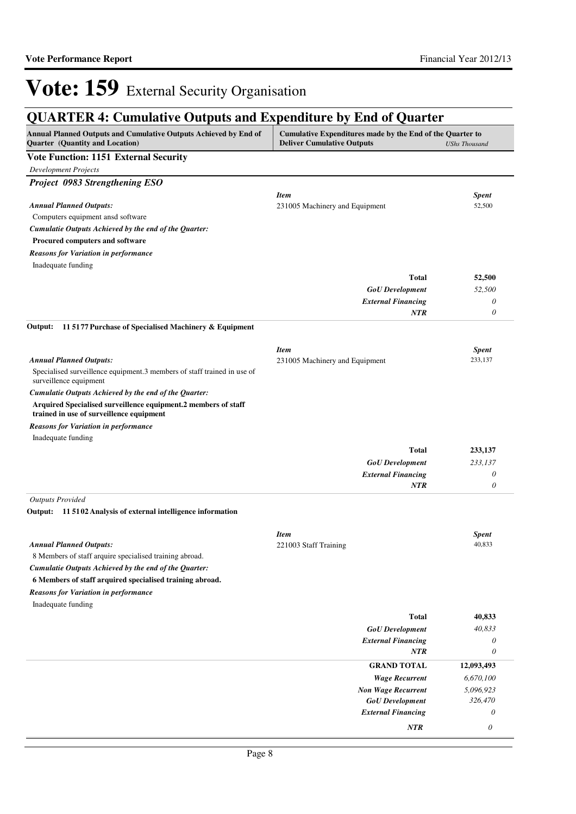# **QUARTER 4: Cumulative Outputs and Expenditure by End of Quarter**

| Annual Planned Outputs and Cumulative Outputs Achieved by End of<br><b>Quarter</b> (Quantity and Location) | Cumulative Expenditures made by the End of the Quarter to<br><b>Deliver Cumulative Outputs</b><br><b>UShs Thousand</b> |                       |
|------------------------------------------------------------------------------------------------------------|------------------------------------------------------------------------------------------------------------------------|-----------------------|
| <b>Vote Function: 1151 External Security</b>                                                               |                                                                                                                        |                       |
| <b>Development Projects</b>                                                                                |                                                                                                                        |                       |
| Project 0983 Strengthening ESO                                                                             |                                                                                                                        |                       |
|                                                                                                            | <b>Item</b>                                                                                                            | <b>Spent</b>          |
| <b>Annual Planned Outputs:</b>                                                                             | 231005 Machinery and Equipment                                                                                         | 52,500                |
| Computers equipment ansd software                                                                          |                                                                                                                        |                       |
| Cumulatie Outputs Achieved by the end of the Quarter:                                                      |                                                                                                                        |                       |
| Procured computers and software                                                                            |                                                                                                                        |                       |
| <b>Reasons for Variation in performance</b>                                                                |                                                                                                                        |                       |
| Inadequate funding                                                                                         | <b>Total</b>                                                                                                           |                       |
|                                                                                                            |                                                                                                                        | 52,500                |
|                                                                                                            | <b>GoU</b> Development<br><b>External Financing</b>                                                                    | 52,500<br>0           |
|                                                                                                            | <b>NTR</b>                                                                                                             | $\theta$              |
| 115177 Purchase of Specialised Machinery & Equipment<br>Output:                                            |                                                                                                                        |                       |
|                                                                                                            |                                                                                                                        |                       |
|                                                                                                            | <b>Item</b>                                                                                                            | <b>Spent</b>          |
| <b>Annual Planned Outputs:</b>                                                                             | 231005 Machinery and Equipment                                                                                         | 233,137               |
| Specialised surveillence equipment.3 members of staff trained in use of<br>surveillence equipment          |                                                                                                                        |                       |
| Cumulatie Outputs Achieved by the end of the Quarter:                                                      |                                                                                                                        |                       |
| Arquired Specialised surveillence equipment.2 members of staff<br>trained in use of surveillence equipment |                                                                                                                        |                       |
| <b>Reasons for Variation in performance</b>                                                                |                                                                                                                        |                       |
| Inadequate funding                                                                                         |                                                                                                                        |                       |
|                                                                                                            | <b>Total</b>                                                                                                           | 233,137               |
|                                                                                                            | <b>GoU</b> Development                                                                                                 | 233,137               |
|                                                                                                            | <b>External Financing</b>                                                                                              | 0                     |
|                                                                                                            | <b>NTR</b>                                                                                                             | 0                     |
| <b>Outputs Provided</b>                                                                                    |                                                                                                                        |                       |
| Output: 11 51 02 Analysis of external intelligence information                                             |                                                                                                                        |                       |
|                                                                                                            | <b>Item</b>                                                                                                            | <b>Spent</b>          |
| <b>Annual Planned Outputs:</b>                                                                             | 221003 Staff Training                                                                                                  | 40,833                |
| 8 Members of staff arquire specialised training abroad.                                                    |                                                                                                                        |                       |
| Cumulatie Outputs Achieved by the end of the Quarter:                                                      |                                                                                                                        |                       |
| 6 Members of staff arquired specialised training abroad.                                                   |                                                                                                                        |                       |
| <b>Reasons for Variation in performance</b>                                                                |                                                                                                                        |                       |
| Inadequate funding                                                                                         |                                                                                                                        |                       |
|                                                                                                            | <b>Total</b>                                                                                                           | 40,833                |
|                                                                                                            | <b>GoU</b> Development                                                                                                 | 40,833                |
|                                                                                                            | <b>External Financing</b>                                                                                              | 0                     |
|                                                                                                            | <b>NTR</b>                                                                                                             | 0                     |
|                                                                                                            | <b>GRAND TOTAL</b>                                                                                                     | 12,093,493            |
|                                                                                                            | <b>Wage Recurrent</b>                                                                                                  | 6,670,100             |
|                                                                                                            | <b>Non Wage Recurrent</b>                                                                                              | 5,096,923             |
|                                                                                                            | <b>GoU</b> Development                                                                                                 | 326,470               |
|                                                                                                            | <b>External Financing</b>                                                                                              | 0                     |
|                                                                                                            | NTR                                                                                                                    | $\boldsymbol{\theta}$ |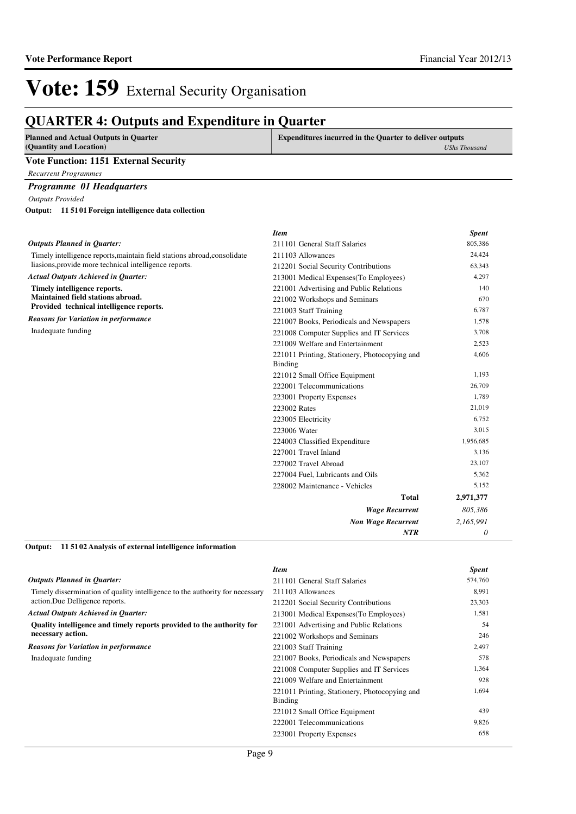| <b>Planned and Actual Outputs in Quarter</b><br>(Quantity and Location)  | <b>Expenditures incurred in the Quarter to deliver outputs</b>  | <b>UShs Thousand</b> |
|--------------------------------------------------------------------------|-----------------------------------------------------------------|----------------------|
| <b>Vote Function: 1151 External Security</b>                             |                                                                 |                      |
| <b>Recurrent Programmes</b>                                              |                                                                 |                      |
|                                                                          |                                                                 |                      |
| <b>Programme 01 Headquarters</b>                                         |                                                                 |                      |
| <b>Outputs Provided</b>                                                  |                                                                 |                      |
| Output: 11 5101 Foreign intelligence data collection                     |                                                                 |                      |
|                                                                          | <b>Item</b>                                                     | <b>Spent</b>         |
| <b>Outputs Planned in Ouarter:</b>                                       | 211101 General Staff Salaries                                   | 805,386              |
| Timely intelligence reports, maintain field stations abroad, consolidate | 211103 Allowances                                               | 24,424               |
| liasions, provide more technical intelligence reports.                   | 212201 Social Security Contributions                            | 63,343               |
| <b>Actual Outputs Achieved in Quarter:</b>                               | 213001 Medical Expenses (To Employees)                          | 4,297                |
| Timely intelligence reports.                                             | 221001 Advertising and Public Relations                         | 140                  |
| Maintained field stations abroad.                                        | 221002 Workshops and Seminars                                   | 670                  |
| Provided technical intelligence reports.                                 | 221003 Staff Training                                           | 6,787                |
| <b>Reasons for Variation in performance</b>                              | 221007 Books, Periodicals and Newspapers                        | 1,578                |
| Inadequate funding                                                       | 221008 Computer Supplies and IT Services                        | 3,708                |
|                                                                          | 221009 Welfare and Entertainment                                | 2,523                |
|                                                                          | 221011 Printing, Stationery, Photocopying and<br><b>Binding</b> | 4,606                |
|                                                                          | 221012 Small Office Equipment                                   | 1,193                |
|                                                                          | 222001 Telecommunications                                       | 26,709               |
|                                                                          | 223001 Property Expenses                                        | 1,789                |
|                                                                          | 223002 Rates                                                    | 21,019               |
|                                                                          | 223005 Electricity                                              | 6,752                |
|                                                                          | 223006 Water                                                    | 3,015                |
|                                                                          | 224003 Classified Expenditure                                   | 1,956,685            |
|                                                                          | 227001 Travel Inland                                            | 3,136                |
|                                                                          | 227002 Travel Abroad                                            | 23,107               |
|                                                                          | 227004 Fuel, Lubricants and Oils                                | 5,362                |
|                                                                          | 228002 Maintenance - Vehicles                                   | 5,152                |

| Total                     | 2,971,377 |
|---------------------------|-----------|
| <b>Wage Recurrent</b>     | 805.386   |
| <b>Non Wage Recurrent</b> | 2,165,991 |
| NTR                       | $\theta$  |

**11 5102 Analysis of external intelligence information Output:**

|                                                                              | <b>Item</b>                                              | <b>Spent</b> |
|------------------------------------------------------------------------------|----------------------------------------------------------|--------------|
| <b>Outputs Planned in Quarter:</b>                                           | 211101 General Staff Salaries                            | 574,760      |
| Timely dissermination of quality intelligence to the authority for necessary | 211103 Allowances                                        | 8,991        |
| action. Due Delligence reports.                                              | 212201 Social Security Contributions                     | 23,303       |
| <b>Actual Outputs Achieved in Quarter:</b>                                   | 213001 Medical Expenses (To Employees)                   | 1,581        |
| Quality intelligence and timely reports provided to the authority for        | 221001 Advertising and Public Relations                  | 54           |
| necessary action.                                                            | 221002 Workshops and Seminars                            | 246          |
| <b>Reasons for Variation in performance</b>                                  | 221003 Staff Training                                    | 2,497        |
| Inadequate funding                                                           | 221007 Books, Periodicals and Newspapers                 | 578          |
|                                                                              | 221008 Computer Supplies and IT Services                 | 1,364        |
|                                                                              | 221009 Welfare and Entertainment                         | 928          |
|                                                                              | 221011 Printing, Stationery, Photocopying and<br>Binding | 1,694        |
|                                                                              | 221012 Small Office Equipment                            | 439          |
|                                                                              | 222001 Telecommunications                                | 9,826        |
|                                                                              | 223001 Property Expenses                                 | 658          |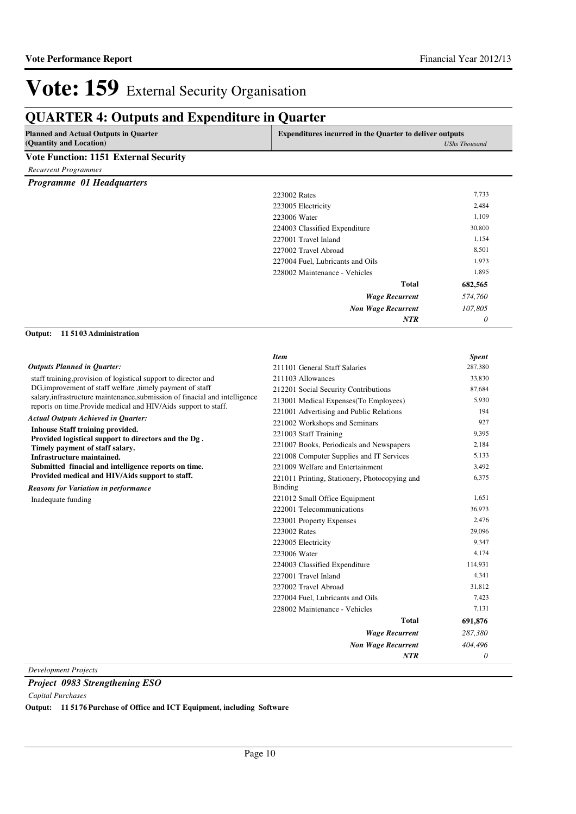## **QUARTER 4: Outputs and Expenditure in Quarter**

| <b>Planned and Actual Outputs in Quarter</b><br>(Quantity and Location)                                                                        | <b>Expenditures incurred in the Quarter to deliver outputs</b>  | <b>UShs Thousand</b> |
|------------------------------------------------------------------------------------------------------------------------------------------------|-----------------------------------------------------------------|----------------------|
| <b>Vote Function: 1151 External Security</b>                                                                                                   |                                                                 |                      |
| <b>Recurrent Programmes</b>                                                                                                                    |                                                                 |                      |
| Programme 01 Headquarters                                                                                                                      |                                                                 |                      |
|                                                                                                                                                | 223002 Rates                                                    | 7,733                |
|                                                                                                                                                | 223005 Electricity                                              | 2,484                |
|                                                                                                                                                | 223006 Water                                                    | 1,109                |
|                                                                                                                                                | 224003 Classified Expenditure                                   | 30,800               |
|                                                                                                                                                | 227001 Travel Inland                                            | 1,154                |
|                                                                                                                                                | 227002 Travel Abroad                                            | 8,501                |
|                                                                                                                                                | 227004 Fuel, Lubricants and Oils                                | 1,973                |
|                                                                                                                                                | 228002 Maintenance - Vehicles                                   | 1,895                |
|                                                                                                                                                | Total                                                           | 682,565              |
|                                                                                                                                                | <b>Wage Recurrent</b>                                           | 574,760              |
|                                                                                                                                                | <b>Non Wage Recurrent</b>                                       | 107,805              |
|                                                                                                                                                | <b>NTR</b>                                                      | 0                    |
| 115103 Administration<br>Output:                                                                                                               |                                                                 |                      |
|                                                                                                                                                | <b>Item</b>                                                     | <b>Spent</b>         |
| <b>Outputs Planned in Quarter:</b>                                                                                                             | 211101 General Staff Salaries                                   | 287,380              |
| staff training, provision of logistical support to director and                                                                                | 211103 Allowances                                               | 33,830               |
| DG, improvement of staff welfare, timely payment of staff                                                                                      | 212201 Social Security Contributions                            | 87,684               |
| salary, infrastructure maintenance, submission of finacial and intelligence<br>reports on time. Provide medical and HIV/Aids support to staff. | 213001 Medical Expenses (To Employees)                          | 5,930                |
| <b>Actual Outputs Achieved in Quarter:</b>                                                                                                     | 221001 Advertising and Public Relations                         | 194                  |
|                                                                                                                                                | 221002 Workshops and Seminars                                   | 927                  |
| <b>Inhouse Staff training provided.</b><br>Provided logistical support to directors and the Dg.                                                | 221003 Staff Training                                           | 9,395                |
| Timely payment of staff salary.                                                                                                                | 221007 Books, Periodicals and Newspapers                        | 2,184                |
| Infrastructure maintained.                                                                                                                     | 221008 Computer Supplies and IT Services                        | 5,133                |
| Submitted finacial and intelligence reports on time.                                                                                           | 221009 Welfare and Entertainment                                | 3,492                |
| Provided medical and HIV/Aids support to staff.<br><b>Reasons for Variation in performance</b>                                                 | 221011 Printing, Stationery, Photocopying and<br><b>Binding</b> | 6,375                |
| Inadequate funding                                                                                                                             | 221012 Small Office Equipment                                   | 1,651                |
|                                                                                                                                                | 222001 Telecommunications                                       | 36,973               |
|                                                                                                                                                | 223001 Property Expenses                                        | 2,476                |
|                                                                                                                                                | 223002 Rates                                                    | 29,096               |
|                                                                                                                                                | 223005 Electricity                                              | 9,347                |
|                                                                                                                                                | 223006 Water                                                    | 4,174                |
|                                                                                                                                                | 224003 Classified Expenditure                                   | 114,931              |
|                                                                                                                                                | 227001 Travel Inland                                            | 4,341                |
|                                                                                                                                                | 227002 Travel Abroad                                            | 31,812               |
|                                                                                                                                                | 227004 Fuel, Lubricants and Oils                                | 7,423                |
|                                                                                                                                                | 228002 Maintenance - Vehicles                                   | 7,131                |
|                                                                                                                                                | <b>Total</b>                                                    | 691,876              |
|                                                                                                                                                | <b>Wage Recurrent</b>                                           | 287,380              |

*Development Projects*

*Project 0983 Strengthening ESO*

*Capital Purchases*

**Output: 11 5176 Purchase of Office and ICT Equipment, including Software**

*Non Wage Recurrent*

*NTR*

*404,496 0*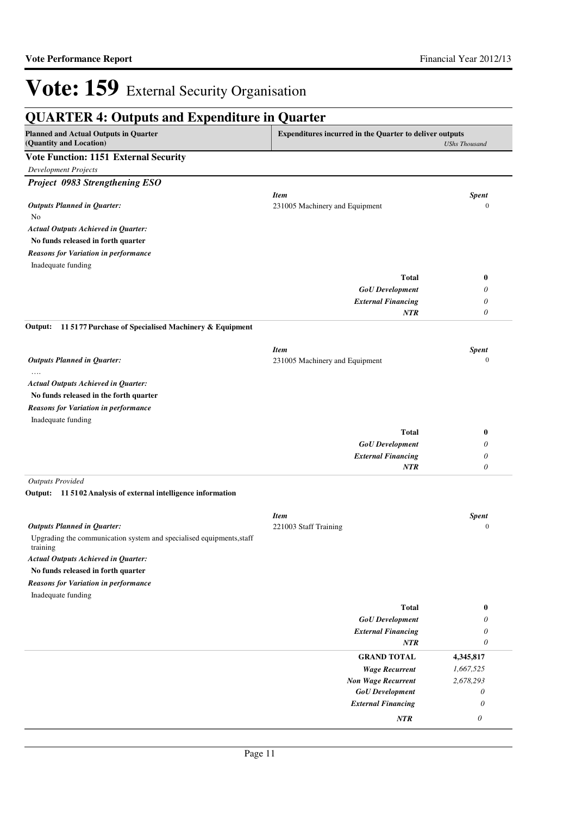| <b>QUARTER 4: Outputs and Expenditure in Quarter</b>                                                                                      |                                |                           |  |
|-------------------------------------------------------------------------------------------------------------------------------------------|--------------------------------|---------------------------|--|
| <b>Planned and Actual Outputs in Quarter</b><br><b>Expenditures incurred in the Quarter to deliver outputs</b><br>(Quantity and Location) |                                | <b>UShs Thousand</b>      |  |
| <b>Vote Function: 1151 External Security</b>                                                                                              |                                |                           |  |
| <b>Development Projects</b>                                                                                                               |                                |                           |  |
| Project 0983 Strengthening ESO                                                                                                            |                                |                           |  |
|                                                                                                                                           | <b>Item</b>                    | <b>Spent</b>              |  |
| <b>Outputs Planned in Quarter:</b>                                                                                                        | 231005 Machinery and Equipment | $\mathbf{0}$              |  |
| No                                                                                                                                        |                                |                           |  |
| <b>Actual Outputs Achieved in Quarter:</b>                                                                                                |                                |                           |  |
| No funds released in forth quarter                                                                                                        |                                |                           |  |
| <b>Reasons for Variation in performance</b>                                                                                               |                                |                           |  |
| Inadequate funding                                                                                                                        |                                |                           |  |
|                                                                                                                                           | <b>Total</b>                   | $\bf{0}$                  |  |
|                                                                                                                                           | <b>GoU</b> Development         | 0                         |  |
|                                                                                                                                           | <b>External Financing</b>      | 0                         |  |
|                                                                                                                                           | <b>NTR</b>                     | 0                         |  |
| 11 5177 Purchase of Specialised Machinery & Equipment<br>Output:                                                                          |                                |                           |  |
|                                                                                                                                           | <b>Item</b>                    | <b>Spent</b>              |  |
| <b>Outputs Planned in Quarter:</b>                                                                                                        | 231005 Machinery and Equipment | $\mathbf{0}$              |  |
| <b>Actual Outputs Achieved in Quarter:</b>                                                                                                |                                |                           |  |
| No funds released in the forth quarter                                                                                                    |                                |                           |  |
| <b>Reasons for Variation in performance</b>                                                                                               |                                |                           |  |
| Inadequate funding                                                                                                                        |                                |                           |  |
|                                                                                                                                           | <b>Total</b>                   | $\bf{0}$                  |  |
|                                                                                                                                           | <b>GoU</b> Development         | 0                         |  |
|                                                                                                                                           | <b>External Financing</b>      | 0                         |  |
|                                                                                                                                           | <b>NTR</b>                     | 0                         |  |
| <b>Outputs Provided</b>                                                                                                                   |                                |                           |  |
| Output: 11 5102 Analysis of external intelligence information                                                                             |                                |                           |  |
|                                                                                                                                           | <b>Item</b>                    | <b>Spent</b>              |  |
| <b>Outputs Planned in Quarter:</b>                                                                                                        | 221003 Staff Training          | $\boldsymbol{0}$          |  |
| Upgrading the communication system and specialised equipments, staff<br>training                                                          |                                |                           |  |
| <b>Actual Outputs Achieved in Quarter:</b>                                                                                                |                                |                           |  |
| No funds released in forth quarter                                                                                                        |                                |                           |  |
| <b>Reasons for Variation in performance</b>                                                                                               |                                |                           |  |
| Inadequate funding                                                                                                                        |                                |                           |  |
|                                                                                                                                           | <b>Total</b>                   | $\bf{0}$                  |  |
|                                                                                                                                           | <b>GoU</b> Development         | 0                         |  |
|                                                                                                                                           | <b>External Financing</b>      | 0                         |  |
|                                                                                                                                           | <b>NTR</b>                     | 0                         |  |
|                                                                                                                                           | <b>GRAND TOTAL</b>             | 4,345,817                 |  |
|                                                                                                                                           | <b>Wage Recurrent</b>          | 1,667,525                 |  |
|                                                                                                                                           | <b>Non Wage Recurrent</b>      | 2,678,293                 |  |
|                                                                                                                                           | <b>GoU</b> Development         | 0                         |  |
|                                                                                                                                           | <b>External Financing</b>      | $\theta$                  |  |
|                                                                                                                                           | NTR                            | $\boldsymbol{\mathit{0}}$ |  |